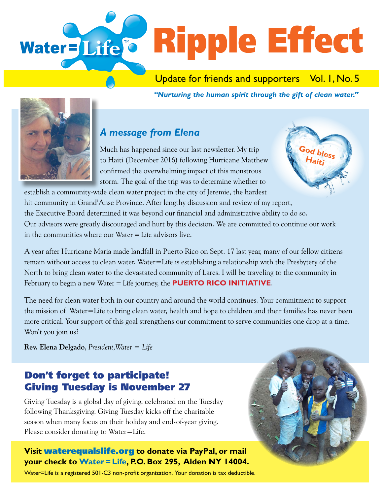

Update for friends and supporters Vol. I, No. 5

*"Nurturing the human spirit through the gift of clean water."* 



#### *A message from Elena*

Much has happened since our last newsletter. My trip to Haiti (December 2016) following Hurricane Matthew confirmed the overwhelming impact of this monstrous storm. The goal of the trip was to determine whether to



establish a community-wide clean water project in the city of Jeremie, the hardest hit community in Grand'Anse Province. After lengthy discussion and review of my report, the Executive Board determined it was beyond our financial and administrative ability to do so. Our advisors were greatly discouraged and hurt by this decision. We are committed to continue our work in the communities where our Water = Life advisors live.

A year after Hurricane Maria made landfall in Puerto Rico on Sept. 17 last year, many of our fellow citizens remain without access to clean water. Water=Life is establishing a relationship with the Presbytery of the North to bring clean water to the devastated community of Lares. I will be traveling to the community in February to begin a new Water = Life journey, the **PUERTO RICO INITIATIVE**.

The need for clean water both in our country and around the world continues. Your commitment to support the mission of Water=Life to bring clean water, health and hope to children and their families has never been more critical. Your support of this goal strengthens our commitment to serve communities one drop at a time. Won't you join us?

**Rev. Elena Delgado**, *President,Water = Life*

## Don't forget to participate! Giving Tuesday is November 27

Giving Tuesday is a global day of giving, celebrated on the Tuesday following Thanksgiving. Giving Tuesday kicks off the charitable season when many focus on their holiday and end-of-year giving. Please consider donating to Water=Life.

#### **Visit** waterequalslife.org **to donate via PayPal, or mail your check to Water = Life, P.O. Box 295, Alden NY 14004.**

Water=Life is a registered 501-C3 non-profit organization. Your donation is tax deductible.